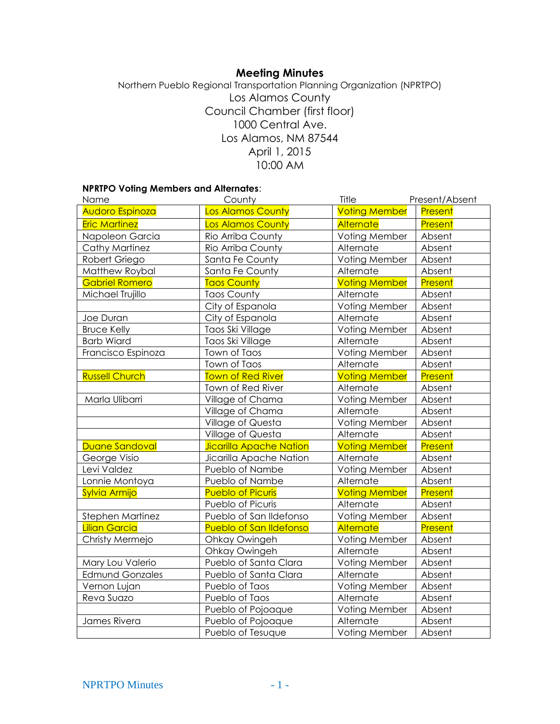# **Meeting Minutes**

Northern Pueblo Regional Transportation Planning Organization (NPRTPO) Los Alamos County Council Chamber (first floor) 1000 Central Ave. Los Alamos, NM 87544 April 1, 2015 10:00 AM

## **NPRTPO Voting Members and Alternates**:

| County<br>Name         |                                | Title                | Present/Absent |
|------------------------|--------------------------------|----------------------|----------------|
| Audoro Espinoza        | <b>Los Alamos County</b>       | <b>Voting Member</b> | Present        |
| <b>Eric Martinez</b>   | Los Alamos County              | Alternate            | Present        |
| Napoleon Garcia        | Rio Arriba County              |                      | Absent         |
| Cathy Martinez         | Rio Arriba County              | Alternate            | Absent         |
| Robert Griego          | Santa Fe County                | Voting Member        | Absent         |
| Matthew Roybal         | Santa Fe County                | Alternate            | Absent         |
| <b>Gabriel Romero</b>  | <b>Taos County</b>             | <b>Voting Member</b> | Present        |
| Michael Trujillo       | <b>Taos County</b>             | Alternate            |                |
|                        | City of Espanola               | Voting Member        | Absent         |
| Joe Duran              | City of Espanola               | Alternate            | Absent         |
| <b>Bruce Kelly</b>     | Taos Ski Village               | Voting Member        | Absent         |
| <b>Barb Wiard</b>      | Taos Ski Village               | Alternate            | Absent         |
| Francisco Espinoza     | Town of Taos                   | Voting Member        | Absent         |
|                        | Town of Taos                   | Alternate            | Absent         |
| <b>Russell Church</b>  | <b>Town of Red River</b>       | <b>Voting Member</b> | Present        |
|                        | Town of Red River              | Alternate            | Absent         |
| Marla Ulibarri         | Village of Chama               | Voting Member        | Absent         |
|                        | Village of Chama               | Alternate            | Absent         |
|                        | Village of Questa              | Voting Member        | Absent         |
|                        | Village of Questa              | Alternate            | Absent         |
| Duane Sandoval         | <b>Jicarilla Apache Nation</b> | <b>Voting Member</b> | Present        |
| George Visio           | Jicarilla Apache Nation        | Alternate            | Absent         |
| Levi Valdez            | Pueblo of Nambe                | Voting Member        | Absent         |
| Lonnie Montoya         | Pueblo of Nambe                | Alternate            | Absent         |
| Sylvia Armijo          | <b>Pueblo of Picuris</b>       |                      | Present        |
|                        | Pueblo of Picuris              | Alternate            | Absent         |
| Stephen Martinez       | Pueblo of San Ildefonso        | Voting Member        | Absent         |
| <b>Lilian Garcia</b>   | <b>Pueblo of San Ildefonso</b> | <b>Alternate</b>     | Present        |
| Christy Mermejo        | Ohkay Owingeh                  | Voting Member        | Absent         |
|                        | Ohkay Owingeh                  | Alternate            | Absent         |
| Mary Lou Valerio       | Pueblo of Santa Clara          | Voting Member        | Absent         |
| <b>Edmund Gonzales</b> | Pueblo of Santa Clara          | Alternate            | Absent         |
| Vernon Lujan           | Pueblo of Taos                 | Voting Member        | Absent         |
| Reva Suazo             | Pueblo of Taos                 | Alternate            | Absent         |
|                        | Pueblo of Pojoaque             | Voting Member        | Absent         |
| James Rivera           | Pueblo of Pojoaque             | Alternate            | Absent         |
|                        | Pueblo of Tesuque              | Voting Member        | Absent         |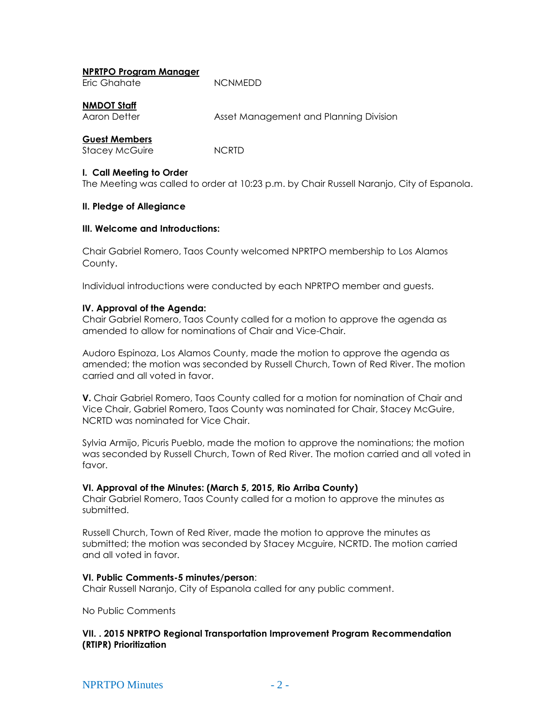| <b>NPRTPO Program Manager</b> |  |
|-------------------------------|--|
|-------------------------------|--|

| Eric Ghahate | <b>NCNMEDD</b> |
|--------------|----------------|

## **NMDOT Staff**

Aaron Detter **Asset Management and Planning Division** 

## **Guest Members**

Stacey McGuire NCRTD

#### **I. Call Meeting to Order**

The Meeting was called to order at 10:23 p.m. by Chair Russell Naranjo, City of Espanola.

#### **II. Pledge of Allegiance**

#### **III. Welcome and Introductions:**

Chair Gabriel Romero, Taos County welcomed NPRTPO membership to Los Alamos County.

Individual introductions were conducted by each NPRTPO member and guests.

## **IV. Approval of the Agenda:**

Chair Gabriel Romero, Taos County called for a motion to approve the agenda as amended to allow for nominations of Chair and Vice-Chair.

Audoro Espinoza, Los Alamos County, made the motion to approve the agenda as amended; the motion was seconded by Russell Church, Town of Red River. The motion carried and all voted in favor.

**V.** Chair Gabriel Romero, Taos County called for a motion for nomination of Chair and Vice Chair, Gabriel Romero, Taos County was nominated for Chair, Stacey McGuire, NCRTD was nominated for Vice Chair.

Sylvia Armijo, Picuris Pueblo, made the motion to approve the nominations; the motion was seconded by Russell Church, Town of Red River. The motion carried and all voted in favor.

#### **VI. Approval of the Minutes: (March 5, 2015, Rio Arriba County)**

Chair Gabriel Romero, Taos County called for a motion to approve the minutes as submitted.

Russell Church, Town of Red River, made the motion to approve the minutes as submitted; the motion was seconded by Stacey Mcguire, NCRTD. The motion carried and all voted in favor.

#### **VI. Public Comments-5 minutes/person**:

Chair Russell Naranjo, City of Espanola called for any public comment.

No Public Comments

#### **VII. . 2015 NPRTPO Regional Transportation Improvement Program Recommendation (RTIPR) Prioritization**